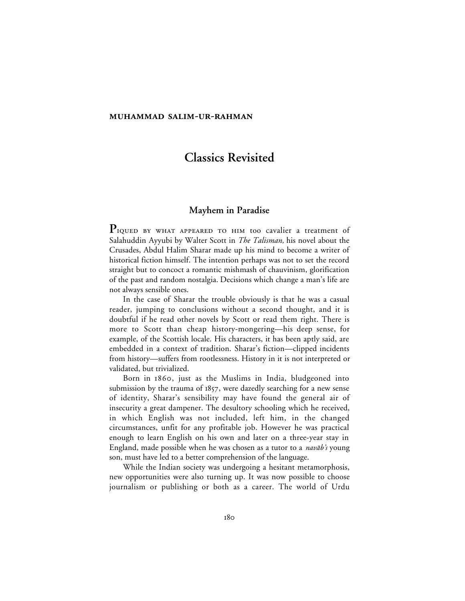### **MUHAMMAD SALIM-UR-RAHMAN**

# **Classics Revisited**

## **Mayhem in Paradise**

PIQUED BY WHAT APPEARED TO HIM too cavalier a treatment of Salahuddin Ayyubi by Walter Scott in *The Talisman,* his novel about the Crusades, Abdul Halim Sharar made up his mind to become a writer of historical fiction himself. The intention perhaps was not to set the record straight but to concoct a romantic mishmash of chauvinism, glorification of the past and random nostalgia. Decisions which change a man's life are not always sensible ones.

In the case of Sharar the trouble obviously is that he was a casual reader, jumping to conclusions without a second thought, and it is doubtful if he read other novels by Scott or read them right. There is more to Scott than cheap history-mongering—his deep sense, for example, of the Scottish locale. His characters, it has been aptly said, are embedded in a context of tradition. Sharar's fiction—clipped incidents from history—suffers from rootlessness. History in it is not interpreted or validated, but trivialized.

Born in 1860, just as the Muslims in India, bludgeoned into submission by the trauma of  $1857$ , were dazedly searching for a new sense of identity, Sharar's sensibility may have found the general air of insecurity a great dampener. The desultory schooling which he received, in which English was not included, left him, in the changed circumstances, unfit for any profitable job. However he was practical enough to learn English on his own and later on a three-year stay in England, made possible when he was chosen as a tutor to a *navāb's* young son, must have led to a better comprehension of the language.

While the Indian society was undergoing a hesitant metamorphosis, new opportunities were also turning up. It was now possible to choose journalism or publishing or both as a career. The world of Urdu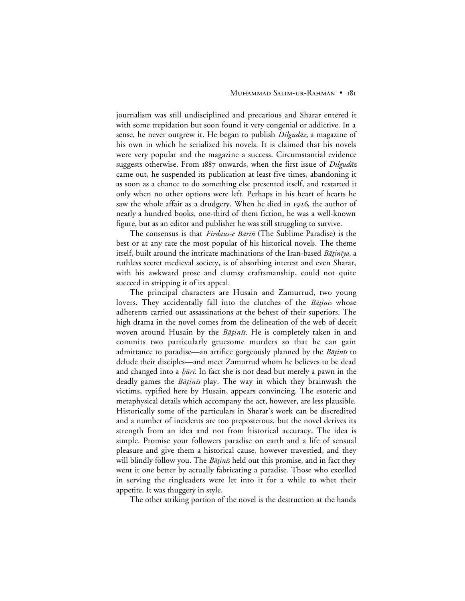journalism was still undisciplined and precarious and Sharar entered it with some trepidation but soon found it very congenial or addictive. In a sense, he never outgrew it. He began to publish *Dilgudāz*, a magazine of his own in which he serialized his novels. It is claimed that his novels were very popular and the magazine a success. Circumstantial evidence suggests otherwise. From 1887 onwards, when the first issue of Dilgudaz came out, he suspended its publication at least five times, abandoning it as soon as a chance to do something else presented itself, and restarted it only when no other options were left. Perhaps in his heart of hearts he saw the whole affair as a drudgery. When he died in 1926, the author of nearly a hundred books, one-third of them fiction, he was a well-known figure, but as an editor and publisher he was still struggling to survive.

The consensus is that Firdaus-e Barin (The Sublime Paradise) is the best or at any rate the most popular of his historical novels. The theme itself, built around the intricate machinations of the Iran-based Bātinīya, a ruthless secret medieval society, is of absorbing interest and even Sharar, with his awkward prose and clumsy craftsmanship, could not quite succeed in stripping it of its appeal.

The principal characters are Husain and Zamurrud, two young lovers. They accidentally fall into the clutches of the *Batinis* whose adherents carried out assassinations at the behest of their superiors. The high drama in the novel comes from the delineation of the web of deceit woven around Husain by the *Bāṭinīs*. He is completely taken in and commits two particularly gruesome murders so that he can gain admittance to paradise—an artifice gorgeously planned by the *Bāṭinīs* to delude their disciples—and meet Zamurrud whom he believes to be dead and changed into a *hūrī*. In fact she is not dead but merely a pawn in the deadly games the *Bāṭinīs* play. The way in which they brainwash the victims, typified here by Husain, appears convincing. The esoteric and metaphysical details which accompany the act, however, are less plausible. Historically some of the particulars in Sharar's work can be discredited and a number of incidents are too preposterous, but the novel derives its strength from an idea and not from historical accuracy. The idea is simple. Promise your followers paradise on earth and a life of sensual pleasure and give them a historical cause, however travestied, and they will blindly follow you. The *Bāṭinīs* held out this promise, and in fact they went it one better by actually fabricating a paradise. Those who excelled in serving the ringleaders were let into it for a while to whet their appetite. It was thuggery in style.

The other striking portion of the novel is the destruction at the hands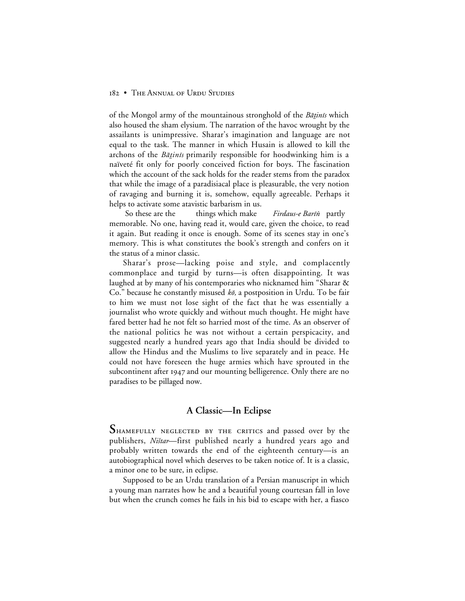### 182 • THE ANNUAL OF URDU STUDIES

of the Mongol army of the mountainous stronghold of the *Bātinis* which also housed the sham elysium. The narration of the havoc wrought by the assailants is unimpressive. Sharar's imagination and language are not equal to the task. The manner in which Husain is allowed to kill the archons of the Bātinis primarily responsible for hoodwinking him is a naïveté fit only for poorly conceived fiction for boys. The fascination which the account of the sack holds for the reader stems from the paradox that while the image of a paradisiacal place is pleasurable, the very notion of ravaging and burning it is, somehow, equally agreeable. Perhaps it helps to activate some atavistic barbarism in us.

So these are the things which make Firdaus-e Barīn partly memorable. No one, having read it, would care, given the choice, to read it again. But reading it once is enough. Some of its scenes stay in one's memory. This is what constitutes the book's strength and confers on it the status of a minor classic.

Sharar's prose—lacking poise and style, and complacently commonplace and turgid by turns—is often disappointing. It was laughed at by many of his contemporaries who nicknamed him "Sharar & Co." because he constantly misused  $k\bar{\sigma}$ , a postposition in Urdu. To be fair to him we must not lose sight of the fact that he was essentially a journalist who wrote quickly and without much thought. He might have fared better had he not felt so harried most of the time. As an observer of the national politics he was not without a certain perspicacity, and suggested nearly a hundred years ago that India should be divided to allow the Hindus and the Muslims to live separately and in peace. He could not have foreseen the huge armies which have sprouted in the subcontinent after 1947 and our mounting belligerence. Only there are no paradises to be pillaged now.

## **A Classic—In Eclipse**

SHAMEFULLY NEGLECTED BY THE CRITICS and passed over by the publishers, Ništar—first published nearly a hundred years ago and probably written towards the end of the eighteenth century—is an autobiographical novel which deserves to be taken notice of. It is a classic, a minor one to be sure, in eclipse.

Supposed to be an Urdu translation of a Persian manuscript in which a young man narrates how he and a beautiful young courtesan fall in love but when the crunch comes he fails in his bid to escape with her, a fiasco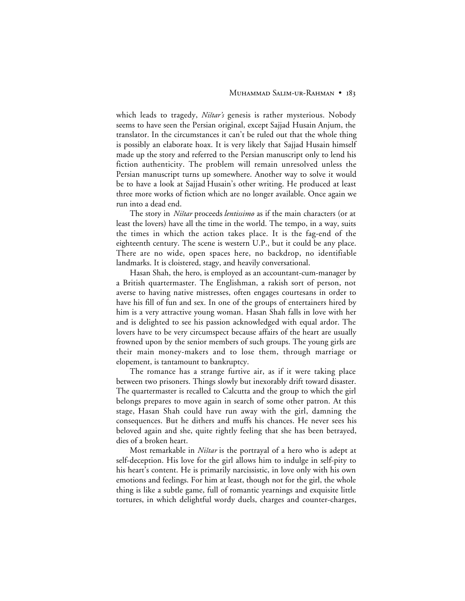which leads to tragedy, *Ništar's* genesis is rather mysterious. Nobody seems to have seen the Persian original, except Sajjad Husain Anjum, the translator. In the circumstances it can't be ruled out that the whole thing is possibly an elaborate hoax. It is very likely that Sajjad Husain himself made up the story and referred to the Persian manuscript only to lend his fiction authenticity. The problem will remain unresolved unless the Persian manuscript turns up somewhere. Another way to solve it would be to have a look at Sajjad Husain's other writing. He produced at least three more works of fiction which are no longer available. Once again we run into a dead end.

The story in *Ništar* proceeds *lentissimo* as if the main characters (or at least the lovers) have all the time in the world. The tempo, in a way, suits the times in which the action takes place. It is the fag-end of the eighteenth century. The scene is western U.P., but it could be any place. There are no wide, open spaces here, no backdrop, no identifiable landmarks. It is cloistered, stagy, and heavily conversational.

Hasan Shah, the hero, is employed as an accountant-cum-manager by a British quartermaster. The Englishman, a rakish sort of person, not averse to having native mistresses, often engages courtesans in order to have his fill of fun and sex. In one of the groups of entertainers hired by him is a very attractive young woman. Hasan Shah falls in love with her and is delighted to see his passion acknowledged with equal ardor. The lovers have to be very circumspect because affairs of the heart are usually frowned upon by the senior members of such groups. The young girls are their main money-makers and to lose them, through marriage or elopement, is tantamount to bankruptcy.

The romance has a strange furtive air, as if it were taking place between two prisoners. Things slowly but inexorably drift toward disaster. The quartermaster is recalled to Calcutta and the group to which the girl belongs prepares to move again in search of some other patron. At this stage, Hasan Shah could have run away with the girl, damning the consequences. But he dithers and muffs his chances. He never sees his beloved again and she, quite rightly feeling that she has been betrayed, dies of a broken heart.

Most remarkable in *Ništar* is the portrayal of a hero who is adept at self-deception. His love for the girl allows him to indulge in self-pity to his heart's content. He is primarily narcissistic, in love only with his own emotions and feelings. For him at least, though not for the girl, the whole thing is like a subtle game, full of romantic yearnings and exquisite little tortures, in which delightful wordy duels, charges and counter-charges,